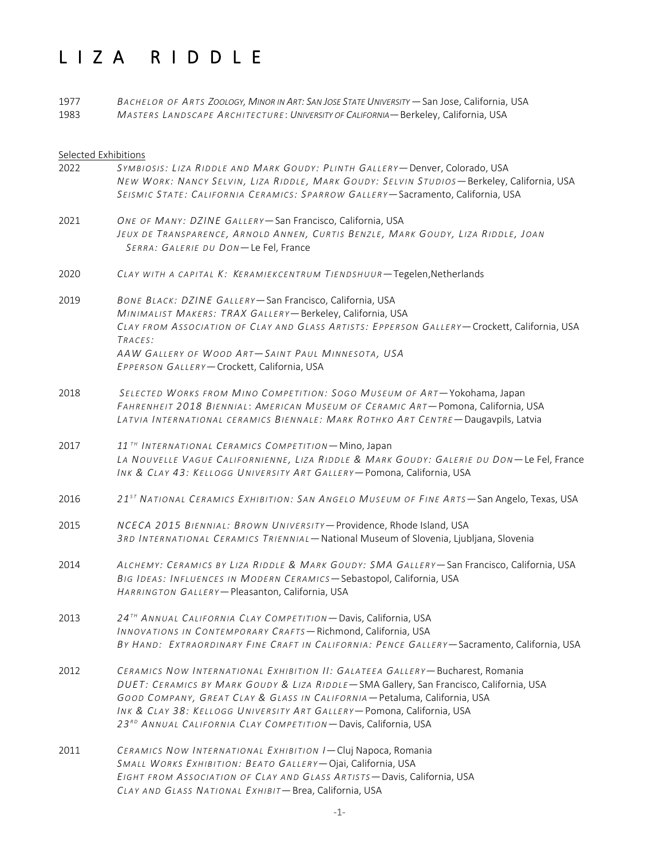# L I Z A R I D D L E

| 1977 | BACHELOR OF ARTS ZOOLOGY, MINOR IN ART: SAN JOSE STATE UNIVERSITY – San Jose, California, USA |
|------|-----------------------------------------------------------------------------------------------|
| 1983 | MASTERS LANDSCAPE ARCHITECTURE: UNIVERSITY OF CALIFORNIA - Berkeley, California, USA          |

# Selected Exhibitions

| 2022 | SYMBIOSIS: LIZA RIDDLE AND MARK GOUDY: PLINTH GALLERY- Denver, Colorado, USA<br>NEW WORK: NANCY SELVIN, LIZA RIDDLE, MARK GOUDY: SELVIN STUDIOS-Berkeley, California, USA<br>SEISMIC STATE: CALIFORNIA CERAMICS: SPARROW GALLERY-Sacramento, California, USA                                                                                                                                       |
|------|----------------------------------------------------------------------------------------------------------------------------------------------------------------------------------------------------------------------------------------------------------------------------------------------------------------------------------------------------------------------------------------------------|
| 2021 | ONE OF MANY: DZINE GALLERY-San Francisco, California, USA<br>JEUX DE TRANSPARENCE, ARNOLD ANNEN, CURTIS BENZLE, MARK GOUDY, LIZA RIDDLE, JOAN<br>SERRA: GALERIE DU DON-Le Fel, France                                                                                                                                                                                                              |
| 2020 | CLAY WITH A CAPITAL K: KERAMIEKCENTRUM TIENDSHUUR-Tegelen, Netherlands                                                                                                                                                                                                                                                                                                                             |
| 2019 | BONE BLACK: DZINE GALLERY-San Francisco, California, USA<br>MINIMALIST MAKERS: TRAX GALLERY-Berkeley, California, USA<br>CLAY FROM ASSOCIATION OF CLAY AND GLASS ARTISTS: EPPERSON GALLERY-Crockett, California, USA<br>TRACES:<br>AAW GALLERY OF WOOD ART-SAINT PAUL MINNESOTA, USA<br>EPPERSON GALLERY-Crockett, California, USA                                                                 |
| 2018 | SELECTED WORKS FROM MINO COMPETITION: SOGO MUSEUM OF ART-Yokohama, Japan<br>FAHRENHEIT 2018 BIENNIAL: AMERICAN MUSEUM OF CERAMIC ART-Pomona, California, USA<br>LATVIA INTERNATIONAL CERAMICS BIENNALE: MARK ROTHKO ART CENTRE-Daugavpils, Latvia                                                                                                                                                  |
| 2017 | 11 <sup>TH</sup> INTERNATIONAL CERAMICS COMPETITION - Mino, Japan<br>LA NOUVELLE VAGUE CALIFORNIENNE, LIZA RIDDLE & MARK GOUDY: GALERIE DU DON-Le Fel, France<br>INK & CLAY 43: KELLOGG UNIVERSITY ART GALLERY-Pomona, California, USA                                                                                                                                                             |
| 2016 | 21 <sup>ST</sup> NATIONAL CERAMICS EXHIBITION: SAN ANGELO MUSEUM OF FINE ARTS-San Angelo, Texas, USA                                                                                                                                                                                                                                                                                               |
| 2015 | NCECA 2015 BIENNIAL: BROWN UNIVERSITY-Providence, Rhode Island, USA<br>3RD INTERNATIONAL CERAMICS TRIENNIAL - National Museum of Slovenia, Ljubljana, Slovenia                                                                                                                                                                                                                                     |
| 2014 | ALCHEMY: CERAMICS BY LIZA RIDDLE & MARK GOUDY: SMA GALLERY-San Francisco, California, USA<br>BIG IDEAS: INFLUENCES IN MODERN CERAMICS-Sebastopol, California, USA<br>HARRINGTON GALLERY-Pleasanton, California, USA                                                                                                                                                                                |
| 2013 | 24TH ANNUAL CALIFORNIA CLAY COMPETITION-Davis, California, USA<br>INNOVATIONS IN CONTEMPORARY CRAFTS-Richmond, California, USA<br>BY HAND: EXTRAORDINARY FINE CRAFT IN CALIFORNIA: PENCE GALLERY-Sacramento, California, USA                                                                                                                                                                       |
| 2012 | CERAMICS NOW INTERNATIONAL EXHIBITION II: GALATEEA GALLERY-Bucharest, Romania<br>DUET: CERAMICS BY MARK GOUDY & LIZA RIDDLE - SMA Gallery, San Francisco, California, USA<br>GOOD COMPANY, GREAT CLAY & GLASS IN CALIFORNIA - Petaluma, California, USA<br>INK & CLAY 38: KELLOGG UNIVERSITY ART GALLERY-Pomona, California, USA<br>23RD ANNUAL CALIFORNIA CLAY COMPETITION-Davis, California, USA |
| 2011 | CERAMICS NOW INTERNATIONAL EXHIBITION I-Cluj Napoca, Romania<br>SMALL WORKS EXHIBITION: BEATO GALLERY-Ojai, California, USA<br>EIGHT FROM ASSOCIATION OF CLAY AND GLASS ARTISTS-Davis, California, USA<br>CLAY AND GLASS NATIONAL EXHIBIT-Brea, California, USA                                                                                                                                    |